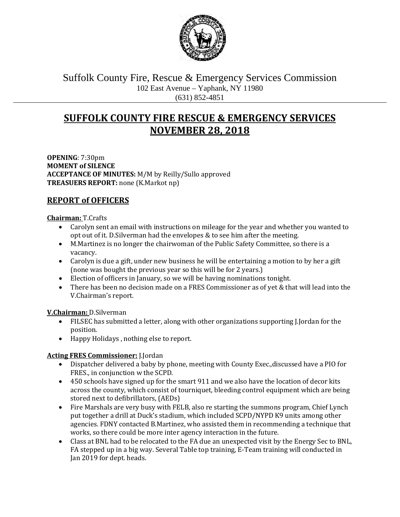

Suffolk County Fire, Rescue & Emergency Services Commission 102 East Avenue – Yaphank, NY 11980 (631) 852-4851

# **SUFFOLK COUNTY FIRE RESCUE & EMERGENCY SERVICES NOVEMBER 28, 2018**

**OPENING**: 7:30pm **MOMENT of SILENCE ACCEPTANCE OF MINUTES:** M/M by Reilly/Sullo approved **TREASUERS REPORT:** none (K.Markot np)

# **REPORT of OFFICERS**

## **Chairman:** T.Crafts

- Carolyn sent an email with instructions on mileage for the year and whether you wanted to opt out of it. D.Silverman had the envelopes & to see him after the meeting.
- M.Martinez is no longer the chairwoman of the Public Safety Committee, so there is a vacancy.
- Carolyn is due a gift, under new business he will be entertaining a motion to by her a gift (none was bought the previous year so this will be for 2 years.)
- Election of officers in January, so we will be having nominations tonight.
- There has been no decision made on a FRES Commissioner as of yet & that will lead into the V.Chairman's report.

## **V.Chairman:** D.Silverman

- FILSEC has submitted a letter, along with other organizations supporting J.Jordan for the position.
- Happy Holidays , nothing else to report.

# **Acting FRES Commissioner:** J.Jordan

- Dispatcher delivered a baby by phone, meeting with County Exec.,discussed have a PIO for FRES., in conjunction w the SCPD.
- 450 schools have signed up for the smart 911 and we also have the location of decor kits across the county, which consist of tourniquet, bleeding control equipment which are being stored next to defibrillators, (AEDs)
- Fire Marshals are very busy with FELB, also re starting the summons program, Chief Lynch put together a drill at Duck's stadium, which included SCPD/NYPD K9 units among other agencies. FDNY contacted B.Martinez, who assisted them in recommending a technique that works, so there could be more inter agency interaction in the future.
- Class at BNL had to be relocated to the FA due an unexpected visit by the Energy Sec to BNL, FA stepped up in a big way. Several Table top training, E-Team training will conducted in Jan 2019 for dept. heads.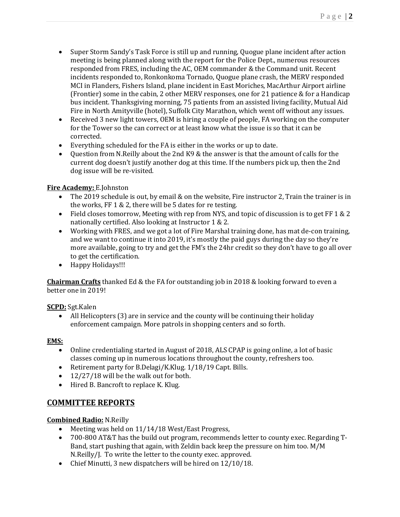- Super Storm Sandy's Task Force is still up and running, Quogue plane incident after action meeting is being planned along with the report for the Police Dept., numerous resources responded from FRES, including the AC, OEM commander & the Command unit. Recent incidents responded to, Ronkonkoma Tornado, Quogue plane crash, the MERV responded MCI in Flanders, Fishers Island, plane incident in East Moriches, MacArthur Airport airline (Frontier) some in the cabin, 2 other MERV responses, one for 21 patience & for a Handicap bus incident. Thanksgiving morning, 75 patients from an assisted living facility, Mutual Aid Fire in North Amityville (hotel), Suffolk City Marathon, which went off without any issues.
- Received 3 new light towers, OEM is hiring a couple of people, FA working on the computer for the Tower so the can correct or at least know what the issue is so that it can be corrected.
- Everything scheduled for the FA is either in the works or up to date.
- Question from N.Reilly about the 2nd K9 & the answer is that the amount of calls for the current dog doesn't justify another dog at this time. If the numbers pick up, then the 2nd dog issue will be re-visited.

## **Fire Academy:** E.Johnston

- The 2019 schedule is out, by email & on the website, Fire instructor 2, Train the trainer is in the works, FF 1 & 2, there will be 5 dates for re testing.
- Field closes tomorrow, Meeting with rep from NYS, and topic of discussion is to get  $FF 1 & 2$ nationally certified. Also looking at Instructor 1 & 2.
- Working with FRES, and we got a lot of Fire Marshal training done, has mat de-con training, and we want to continue it into 2019, it's mostly the paid guys during the day so they're more available, going to try and get the FM's the 24hr credit so they don't have to go all over to get the certification.
- Happy Holidays!!!

**Chairman Crafts** thanked Ed & the FA for outstanding job in 2018 & looking forward to even a better one in 2019!

**SCPD:** Sgt.Kalen

• All Helicopters (3) are in service and the county will be continuing their holiday enforcement campaign. More patrols in shopping centers and so forth.

## **EMS:**

- Online credentialing started in August of 2018, ALS CPAP is going online, a lot of basic classes coming up in numerous locations throughout the county, refreshers too.
- Retirement party for B.Delagi/K.Klug. 1/18/19 Capt. Bills.
- 12/27/18 will be the walk out for both.
- Hired B. Bancroft to replace K. Klug.

# **COMMITTEE REPORTS**

**Combined Radio:** N.Reilly

- Meeting was held on 11/14/18 West/East Progress,
- 700-800 AT&T has the build out program, recommends letter to county exec. Regarding T-Band, start pushing that again, with Zeldin back keep the pressure on him too. M/M N.Reilly/J. To write the letter to the county exec. approved.
- Chief Minutti, 3 new dispatchers will be hired on 12/10/18.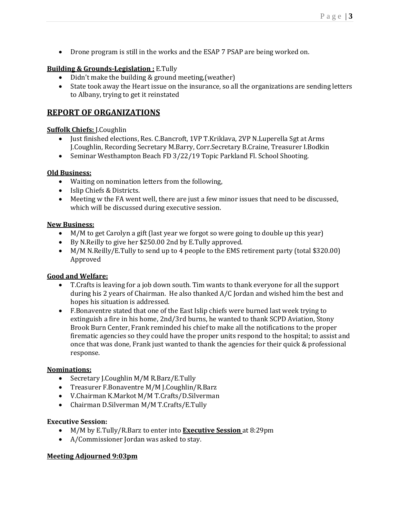• Drone program is still in the works and the ESAP 7 PSAP are being worked on.

### **Building & Grounds-Legislation :** E.Tully

- Didn't make the building & ground meeting, (weather)
- State took away the Heart issue on the insurance, so all the organizations are sending letters to Albany, trying to get it reinstated

# **REPORT OF ORGANIZATIONS**

#### **Suffolk Chiefs:** J.Coughlin

- Just finished elections, Res. C.Bancroft, 1VP T.Kriklava, 2VP N.Luperella Sgt at Arms J.Coughlin, Recording Secretary M.Barry, Corr.Secretary B.Craine, Treasurer I.Bodkin
- Seminar Westhampton Beach FD 3/22/19 Topic Parkland Fl. School Shooting.

### **Old Business:**

- Waiting on nomination letters from the following,
- Islip Chiefs & Districts.
- Meeting w the FA went well, there are just a few minor issues that need to be discussed, which will be discussed during executive session.

### **New Business:**

- M/M to get Carolyn a gift (last year we forgot so were going to double up this year)
- By N.Reilly to give her \$250.00 2nd by E.Tully approved.
- M/M N.Reilly/E.Tully to send up to 4 people to the EMS retirement party (total \$320.00) Approved

## **Good and Welfare:**

- T.Crafts is leaving for a job down south. Tim wants to thank everyone for all the support during his 2 years of Chairman. He also thanked A/C Jordan and wished him the best and hopes his situation is addressed.
- F.Bonaventre stated that one of the East Islip chiefs were burned last week trying to extinguish a fire in his home, 2nd/3rd burns, he wanted to thank SCPD Aviation, Stony Brook Burn Center, Frank reminded his chief to make all the notifications to the proper firematic agencies so they could have the proper units respond to the hospital; to assist and once that was done, Frank just wanted to thank the agencies for their quick & professional response.

#### **Nominations:**

- Secretary J.Coughlin M/M R.Barz/E.Tully
- Treasurer F.Bonaventre M/M J.Coughlin/R.Barz
- V.Chairman K.Markot M/M T.Crafts/D.Silverman
- Chairman D.Silverman M/M T.Crafts/E.Tully

#### **Executive Session:**

- M/M by E.Tully/R.Barz to enter into **Executive Session** at 8:29pm
- A/Commissioner Jordan was asked to stay.

#### **Meeting Adjourned 9:03pm**